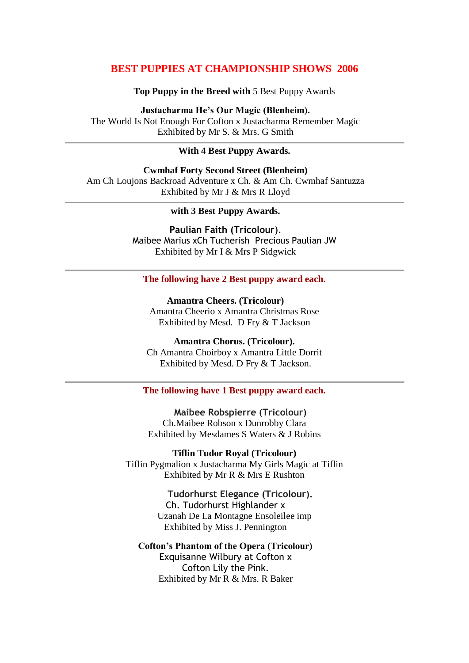# **BEST PUPPIES AT CHAMPIONSHIP SHOWS 2006**

**Top Puppy in the Breed with** 5 Best Puppy Awards

**Justacharma He's Our Magic (Blenheim).** The World Is Not Enough For Cofton x Justacharma Remember Magic Exhibited by Mr S. & Mrs. G Smith

### **With 4 Best Puppy Awards.**

**Cwmhaf Forty Second Street (Blenheim)** Am Ch Loujons Backroad Adventure x Ch. & Am Ch. Cwmhaf Santuzza Exhibited by Mr J & Mrs R Lloyd

**with 3 Best Puppy Awards.**

**Paulian Faith (Tricolour**). Maibee Marius xCh Tucherish Precious Paulian JW Exhibited by Mr I & Mrs P Sidgwick

### **The following have 2 Best puppy award each.**

**Amantra Cheers. (Tricolour)** Amantra Cheerio x Amantra Christmas Rose Exhibited by Mesd. D Fry & T Jackson

**Amantra Chorus. (Tricolour).** Ch Amantra Choirboy x Amantra Little Dorrit Exhibited by Mesd. D Fry & T Jackson.

#### **The following have 1 Best puppy award each.**

**Maibee Robspierre (Tricolour)** Ch.Maibee Robson x Dunrobby Clara Exhibited by Mesdames S Waters & J Robins

**Tiflin Tudor Royal (Tricolour)** Tiflin Pygmalion x Justacharma My Girls Magic at Tiflin Exhibited by Mr R & Mrs E Rushton

> **Tudorhurst Elegance (Tricolour).** Ch. Tudorhurst Highlander x Uzanah De La Montagne Ensoleilee imp Exhibited by Miss J. Pennington

**Cofton's Phantom of the Opera (Tricolour)** Exquisanne Wilbury at Cofton x Cofton Lily the Pink. Exhibited by Mr R & Mrs. R Baker